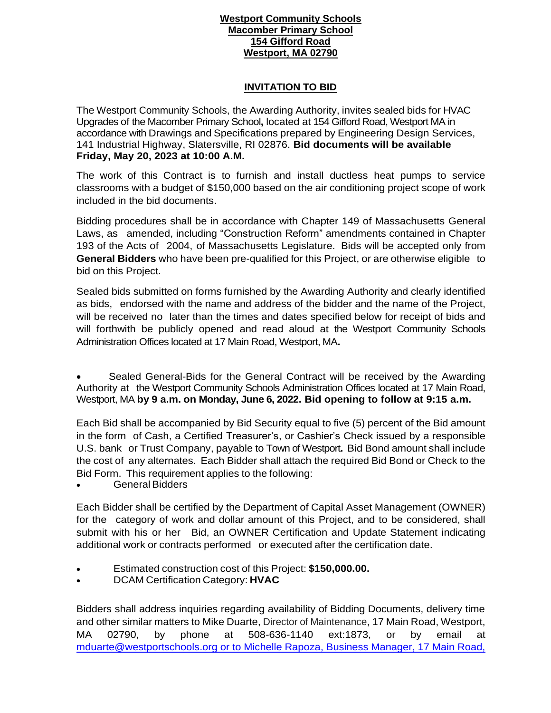## **Westport Community Schools Macomber Primary School 154 Gifford Road Westport, MA 02790**

## **INVITATION TO BID**

The Westport Community Schools, the Awarding Authority, invites sealed bids for HVAC Upgrades of the Macomber Primary School**,** located at 154 Gifford Road, Westport MA in accordance with Drawings and Specifications prepared by Engineering Design Services, 141 Industrial Highway, Slatersville, RI 02876. **Bid documents will be available Friday, May 20, 2023 at 10:00 A.M.** 

The work of this Contract is to furnish and install ductless heat pumps to service classrooms with a budget of \$150,000 based on the air conditioning project scope of work included in the bid documents.

Bidding procedures shall be in accordance with Chapter 149 of Massachusetts General Laws, as amended, including "Construction Reform" amendments contained in Chapter 193 of the Acts of 2004, of Massachusetts Legislature. Bids will be accepted only from **General Bidders** who have been pre-qualified for this Project, or are otherwise eligible to bid on this Project.

Sealed bids submitted on forms furnished by the Awarding Authority and clearly identified as bids, endorsed with the name and address of the bidder and the name of the Project, will be received no later than the times and dates specified below for receipt of bids and will forthwith be publicly opened and read aloud at the Westport Community Schools Administration Offices located at 17 Main Road, Westport, MA**.**

 Sealed General-Bids for the General Contract will be received by the Awarding Authority at the Westport Community Schools Administration Offices located at 17 Main Road, Westport, MA **by 9 a.m. on Monday, June 6, 2022. Bid opening to follow at 9:15 a.m.**

Each Bid shall be accompanied by Bid Security equal to five (5) percent of the Bid amount in the form of Cash, a Certified Treasurer's, or Cashier's Check issued by a responsible U.S. bank or Trust Company, payable to Town of Westport**.** Bid Bond amount shall include the cost of any alternates. Each Bidder shall attach the required Bid Bond or Check to the Bid Form. This requirement applies to the following:

General Bidders

Each Bidder shall be certified by the Department of Capital Asset Management (OWNER) for the category of work and dollar amount of this Project, and to be considered, shall submit with his or her Bid, an OWNER Certification and Update Statement indicating additional work or contracts performed or executed after the certification date.

- Estimated construction cost of this Project: **\$150,000.00.**
- DCAM Certification Category: **HVAC**

Bidders shall address inquiries regarding availability of Bidding Documents, delivery time and other similar matters to Mike Duarte, Director of Maintenance, 17 Main Road, Westport, MA 02790, by phone at 508-636-1140 ext:1873, or by email at [mduarte@westportschools.org](mailto:mduarte@westportschools.org) or to Michelle Rapoza, Business Manager, 17 Main Road,